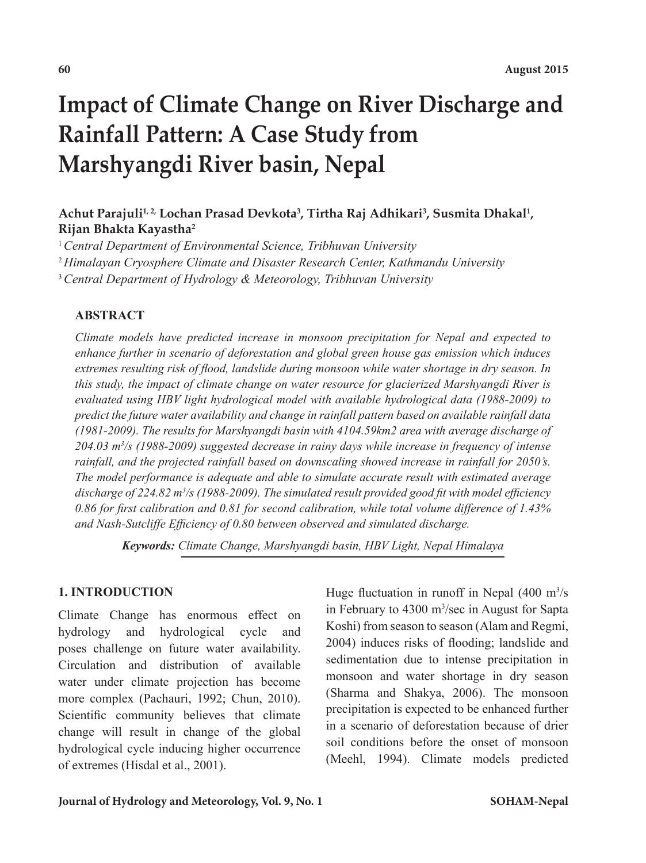# **Impact of Climate Change on River Discharge and Rainfall Pattern: A Case Study from Marshyangdi River basin, Nepal**

# Achut Parajuli<sup>1,2,</sup> Lochan Prasad Devkota<sup>3</sup>, Tirtha Raj Adhikari<sup>3</sup>, Susmita Dhakal<sup>1</sup>, **Rijan Bhakta Kayastha2**

<sup>1</sup>*Central Department of Environmental Science, Tribhuvan University*

<sup>2</sup>*Himalayan Cryosphere Climate and Disaster Research Center, Kathmandu University*

<sup>3</sup>*Central Department of Hydrology & Meteorology, Tribhuvan University*

# **ABSTRACT**

*Climate models have predicted increase in monsoon precipitation for Nepal and expected to enhance further in scenario of deforestation and global green house gas emission which induces extremes resulting risk of flood, landslide during monsoon while water shortage in dry season. In this study, the impact of climate change on water resource for glacierized Marshyangdi River is evaluated using HBV light hydrological model with available hydrological data (1988-2009) to predict the future water availability and change in rainfall pattern based on available rainfall data (1981-2009). The results for Marshyangdi basin with 4104.59km2 area with average discharge of*  204.03 m<sup>3</sup>/s (1988-2009) suggested decrease in rainy days while increase in frequency of intense *rainfall, and the projected rainfall based on downscaling showed increase in rainfall for 2050's. The model performance is adequate and able to simulate accurate result with estimated average discharge of 224.82 m3 /s (1988-2009). The simulated result provided good fit with model efficiency 0.86 for first calibration and 0.81 for second calibration, while total volume difference of 1.43% and Nash-Sutcliffe Efficiency of 0.80 between observed and simulated discharge.* 

*Keywords: Climate Change, Marshyangdi basin, HBV Light, Nepal Himalaya*

## **1. INTRODUCTION**

Climate Change has enormous effect on hydrology and hydrological cycle and poses challenge on future water availability. Circulation and distribution of available water under climate projection has become more complex (Pachauri, 1992; Chun, 2010). Scientific community believes that climate change will result in change of the global hydrological cycle inducing higher occurrence of extremes (Hisdal et al., 2001).

Huge fluctuation in runoff in Nepal  $(400 \text{ m}^3/\text{s})$ in February to 4300 m<sup>3</sup>/sec in August for Sapta Koshi) from season to season (Alam and Regmi, 2004) induces risks of flooding; landslide and sedimentation due to intense precipitation in monsoon and water shortage in dry season (Sharma and Shakya, 2006). The monsoon precipitation is expected to be enhanced further in a scenario of deforestation because of drier soil conditions before the onset of monsoon (Meehl, 1994). Climate models predicted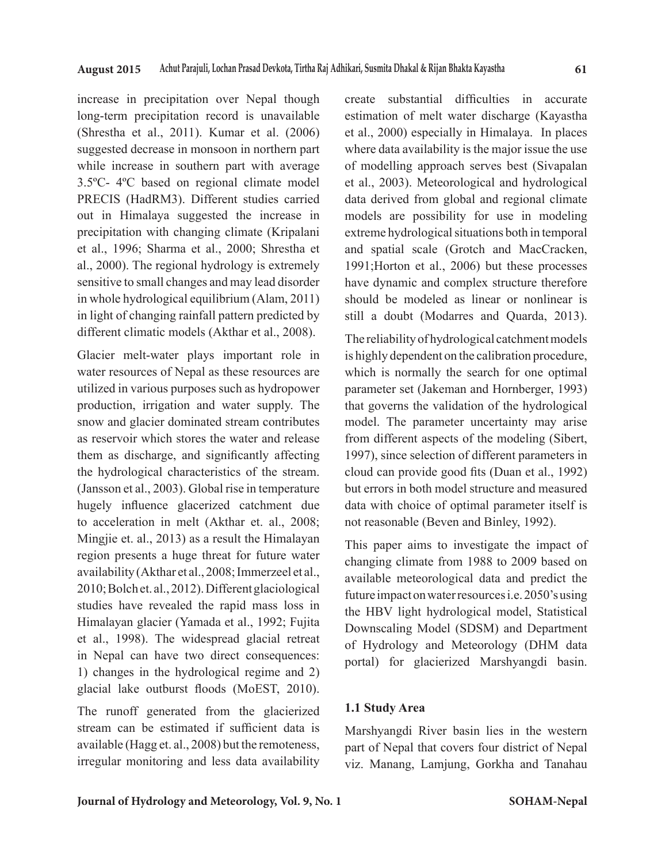increase in precipitation over Nepal though long-term precipitation record is unavailable (Shrestha et al., 2011). Kumar et al. (2006) suggested decrease in monsoon in northern part while increase in southern part with average 3.5ºC- 4ºC based on regional climate model PRECIS (HadRM3). Different studies carried out in Himalaya suggested the increase in precipitation with changing climate (Kripalani et al., 1996; Sharma et al., 2000; Shrestha et al., 2000). The regional hydrology is extremely sensitive to small changes and may lead disorder in whole hydrological equilibrium (Alam, 2011) in light of changing rainfall pattern predicted by different climatic models (Akthar et al., 2008).

Glacier melt-water plays important role in water resources of Nepal as these resources are utilized in various purposes such as hydropower production, irrigation and water supply. The snow and glacier dominated stream contributes as reservoir which stores the water and release them as discharge, and significantly affecting the hydrological characteristics of the stream. (Jansson et al., 2003). Global rise in temperature hugely influence glacerized catchment due to acceleration in melt (Akthar et. al., 2008; Mingjie et. al., 2013) as a result the Himalayan region presents a huge threat for future water availability (Akthar et al., 2008; Immerzeel et al., 2010; Bolch et. al., 2012). Different glaciological studies have revealed the rapid mass loss in Himalayan glacier (Yamada et al., 1992; Fujita et al., 1998). The widespread glacial retreat in Nepal can have two direct consequences: 1) changes in the hydrological regime and 2) glacial lake outburst floods (MoEST, 2010).

The runoff generated from the glacierized stream can be estimated if sufficient data is available (Hagg et. al., 2008) but the remoteness, irregular monitoring and less data availability create substantial difficulties in accurate estimation of melt water discharge (Kayastha et al., 2000) especially in Himalaya. In places where data availability is the major issue the use of modelling approach serves best (Sivapalan et al., 2003). Meteorological and hydrological data derived from global and regional climate models are possibility for use in modeling extreme hydrological situations both in temporal and spatial scale (Grotch and MacCracken, 1991;Horton et al., 2006) but these processes have dynamic and complex structure therefore should be modeled as linear or nonlinear is still a doubt (Modarres and Quarda, 2013).

The reliability of hydrological catchment models is highly dependent on the calibration procedure, which is normally the search for one optimal parameter set (Jakeman and Hornberger, 1993) that governs the validation of the hydrological model. The parameter uncertainty may arise from different aspects of the modeling (Sibert, 1997), since selection of different parameters in cloud can provide good fits (Duan et al., 1992) but errors in both model structure and measured data with choice of optimal parameter itself is not reasonable (Beven and Binley, 1992).

This paper aims to investigate the impact of changing climate from 1988 to 2009 based on available meteorological data and predict the future impact on water resources i.e. 2050's using the HBV light hydrological model, Statistical Downscaling Model (SDSM) and Department of Hydrology and Meteorology (DHM data portal) for glacierized Marshyangdi basin.

#### **1.1 Study Area**

Marshyangdi River basin lies in the western part of Nepal that covers four district of Nepal viz. Manang, Lamjung, Gorkha and Tanahau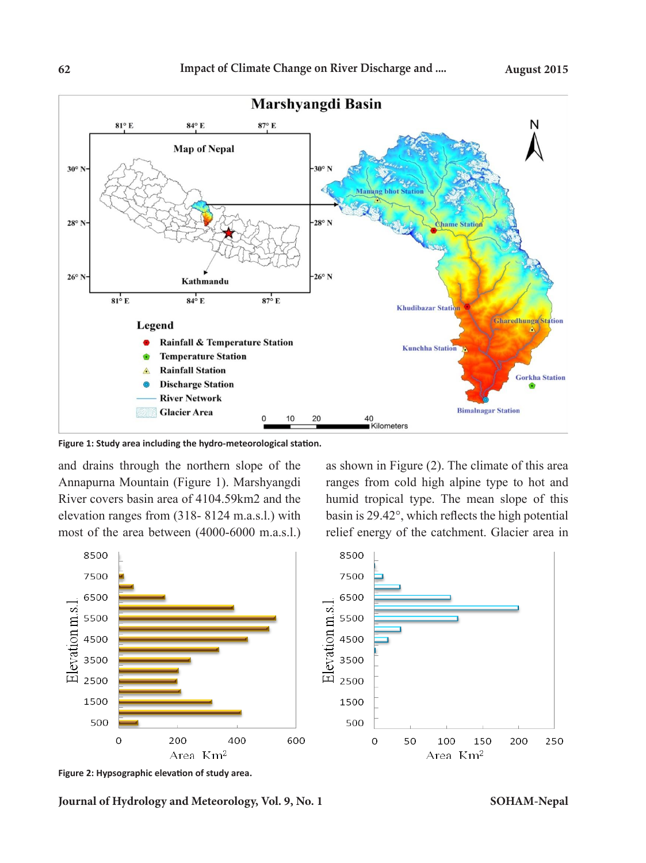

**Figure 1: Study area including the hydro-meteorological station.** 308 Figure 1: Study area including the hydro-meteorological station.

and drains through the northern slope of the Annapurna Mountain (Figure 1). Marshyangdi River covers basin area of 4104.59km2 and the elevation ranges from (318- 8124 m.a.s.l.) with most of the area between (4000-6000 m.a.s.l.) relief energy of t

as shown in Figure (2). The climate of this area ranges from cold high alpine type to hot and humid tropical type. The mean slope of this basin is 29.42°, which reflects the high potential relief energy of the catchment. Glacier area in



**Figure 2: Hypsographic elevation of study area.**

**Journal of Hydrology and Meteorology, Vol. 9, No. 1 SOHAM-Nepal**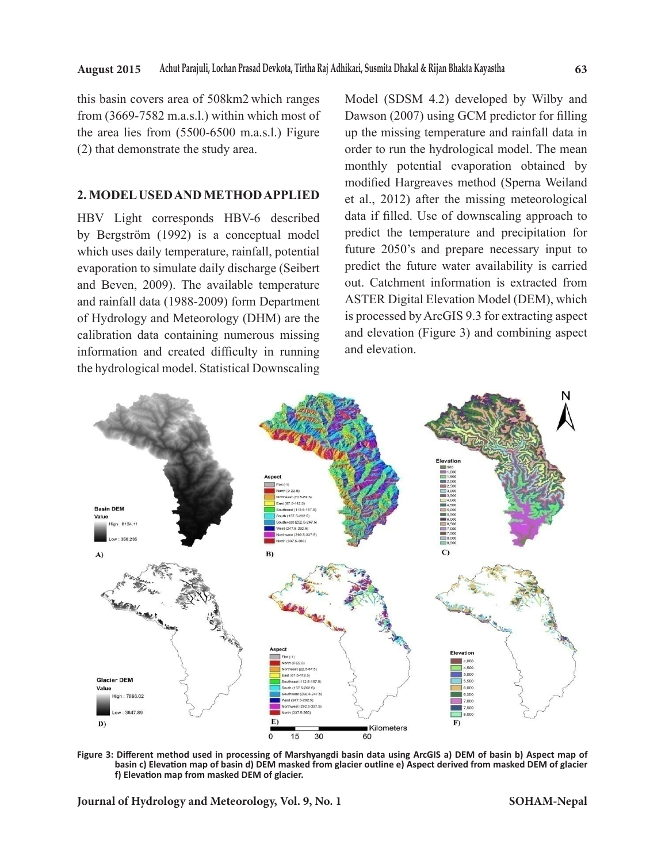this basin covers area of 508km2 which ranges from (3669-7582 m.a.s.l.) within which most of the area lies from (5500-6500 m.a.s.l.) Figure (2) that demonstrate the study area.

#### **2. MODEL USED AND METHOD APPLIED**

HBV Light corresponds HBV-6 described by Bergström (1992) is a conceptual model which uses daily temperature, rainfall, potential evaporation to simulate daily discharge (Seibert and Beven, 2009). The available temperature and rainfall data (1988-2009) form Department of Hydrology and Meteorology (DHM) are the calibration data containing numerous missing information and created difficulty in running the hydrological model. Statistical Downscaling

Model (SDSM 4.2) developed by Wilby and Dawson (2007) using GCM predictor for filling up the missing temperature and rainfall data in order to run the hydrological model. The mean monthly potential evaporation obtained by modified Hargreaves method (Sperna Weiland et al., 2012) after the missing meteorological data if filled. Use of downscaling approach to predict the temperature and precipitation for future 2050's and prepare necessary input to predict the future water availability is carried out. Catchment information is extracted from ASTER Digital Elevation Model (DEM), which is processed by ArcGIS 9.3 for extracting aspect and elevation (Figure 3) and combining aspect and elevation.



**Figure 3: Different method used in processing of Marshyangdi basin data using ArcGIS a) DEM of basin b) Aspect map of**  Figure 3: Different method used in processing of Marshyangdi basin data using ArcGIS a) DEM of basin b) Aspect map of<br>basin c) Elevation map of basin d) DEM masked from glacier outline e) Aspect derived from masked DEM of **f) Elevation map from masked DEM of glacier.**  $\frac{3}{2}$  of basin b) Aspect map of basin dispersion map of  $B$  as in dispersion map of  $B$ 

**Journal of Hydrology and Meteorology, Vol. 9, No. 1**  $3314$  equality derived from matter of  $\frac{314}{21}$  erg s  $\frac{314}{21}$  erg s  $\frac{314}{21}$  erg s  $\frac{314}{21}$  erg s  $\frac{314}{21}$  erg s  $\frac{314}{21}$  erg s  $\frac{314}{21}$  erg s  $\frac{314}{21}$  erg s  $\frac{314}{21}$  erg s  $\frac{314}{21}$ 

**SOHAM-Nepal**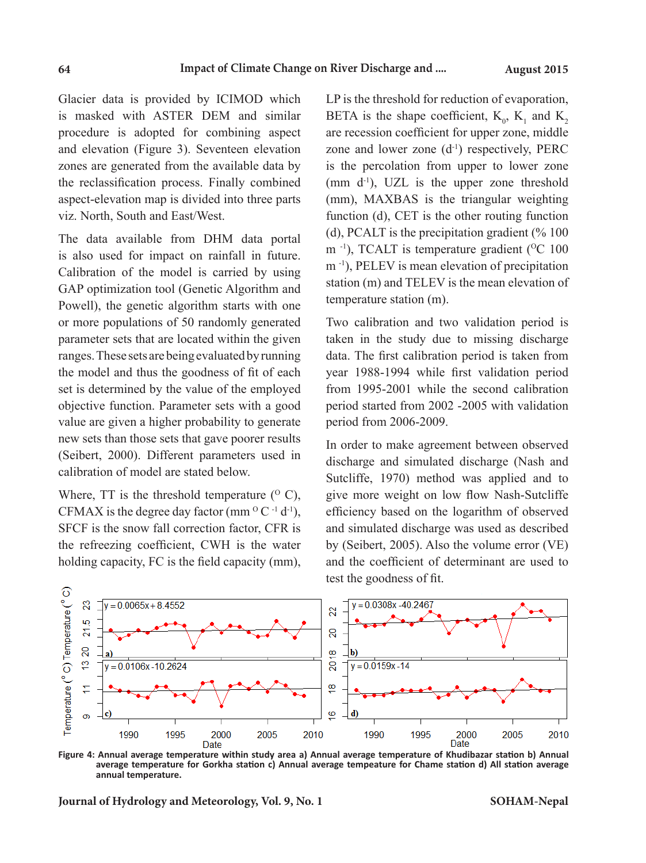Glacier data is provided by ICIMOD which is masked with ASTER DEM and similar procedure is adopted for combining aspect and elevation (Figure 3). Seventeen elevation zones are generated from the available data by the reclassification process. Finally combined aspect-elevation map is divided into three parts viz. North, South and East/West.

The data available from DHM data portal is also used for impact on rainfall in future. Calibration of the model is carried by using GAP optimization tool (Genetic Algorithm and Powell), the genetic algorithm starts with one or more populations of 50 randomly generated parameter sets that are located within the given ranges. These sets are being evaluated by running the model and thus the goodness of fit of each set is determined by the value of the employed objective function. Parameter sets with a good value are given a higher probability to generate new sets than those sets that gave poorer results (Seibert, 2000). Different parameters used in calibration of model are stated below.

Where,  $TT$  is the threshold temperature  $(°C)$ , CFMAX is the degree day factor (mm  $^{\circ}$  C <sup>-1</sup> d<sup>-1</sup>), SFCF is the snow fall correction factor, CFR is the refreezing coefficient, CWH is the water holding capacity, FC is the field capacity (mm), LP is the threshold for reduction of evaporation, BETA is the shape coefficient,  $K_0$ ,  $K_1$  and  $K_2$ are recession coefficient for upper zone, middle zone and lower zone  $(d<sup>-1</sup>)$  respectively, PERC is the percolation from upper to lower zone (mm  $d^{-1}$ ), UZL is the upper zone threshold (mm), MAXBAS is the triangular weighting function (d), CET is the other routing function (d), PCALT is the precipitation gradient  $(\% 100)$  $m^{-1}$ ), TCALT is temperature gradient (<sup>O</sup>C 100 m -1), PELEV is mean elevation of precipitation station (m) and TELEV is the mean elevation of temperature station (m).

Two calibration and two validation period is taken in the study due to missing discharge data. The first calibration period is taken from year 1988-1994 while first validation period from 1995-2001 while the second calibration period started from 2002 -2005 with validation period from 2006-2009.

In order to make agreement between observed discharge and simulated discharge (Nash and Sutcliffe, 1970) method was applied and to give more weight on low flow Nash-Sutcliffe efficiency based on the logarithm of observed and simulated discharge was used as described by (Seibert, 2005). Also the volume error (VE) and the coefficient of determinant are used to test the goodness of fit.



**Figure 4: Annual average temperature within study area a) Annual average temperature of Khudibazar station b) Annual average temperature for Gorkha station c) Annual average tempeature for Chame station d) All station average annual temperature.** 

**Journal of Hydrology and Meteorology, Vol. 9, No. 1 SOHAM-Nepal**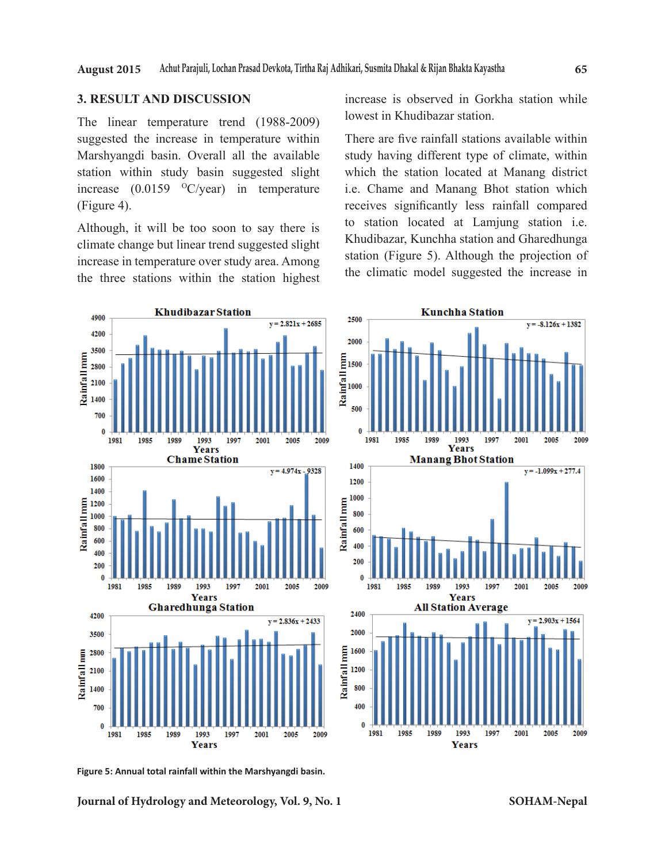#### **3. RESULT AND DISCUSSION**

The linear temperature trend (1988-2009) suggested the increase in temperature within Marshyangdi basin. Overall all the available station within study basin suggested slight increase  $(0.0159 \, \mathrm{^{\circ}C/year})$  in temperature (Figure 4).

Although, it will be too soon to say there is climate change but linear trend suggested slight increase in temperature over study area. Among the three stations within the station highest increase is observed in Gorkha station while lowest in Khudibazar station.

There are five rainfall stations available within study having different type of climate, within which the station located at Manang district i.e. Chame and Manang Bhot station which receives significantly less rainfall compared to station located at Lamjung station i.e. Khudibazar, Kunchha station and Gharedhunga station (Figure 5). Although the projection of the climatic model suggested the increase in



**Figure 5: Annual total rainfall within the Marshyangdi basin.**

**Journal of Hydrology and Meteorology, Vol. 9, No. 1**

**SOHAM-Nepal**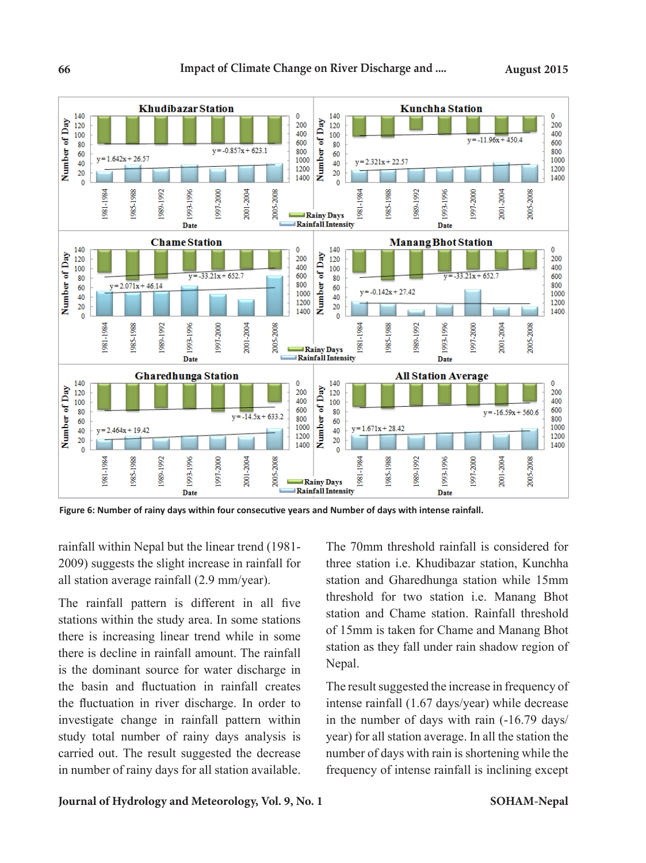

**Figure 6: Number of rainy days within four consecutive years and Number of days with intense rainfall.** 

rainfall within Nepal but the linear trend (1981- 2009) suggests the slight increase in rainfall for all station average rainfall (2.9 mm/year).

The rainfall pattern is different in all five stations within the study area. In some stations there is increasing linear trend while in some there is decline in rainfall amount. The rainfall is the dominant source for water discharge in the basin and fluctuation in rainfall creates the fluctuation in river discharge. In order to investigate change in rainfall pattern within study total number of rainy days analysis is carried out. The result suggested the decrease in number of rainy days for all station available. The 70mm threshold rainfall is considered for three station i.e. Khudibazar station, Kunchha station and Gharedhunga station while 15mm threshold for two station i.e. Manang Bhot station and Chame station. Rainfall threshold of 15mm is taken for Chame and Manang Bhot station as they fall under rain shadow region of Nepal.

The result suggested the increase in frequency of intense rainfall (1.67 days/year) while decrease in the number of days with rain (-16.79 days/ year) for all station average. In all the station the number of days with rain is shortening while the frequency of intense rainfall is inclining except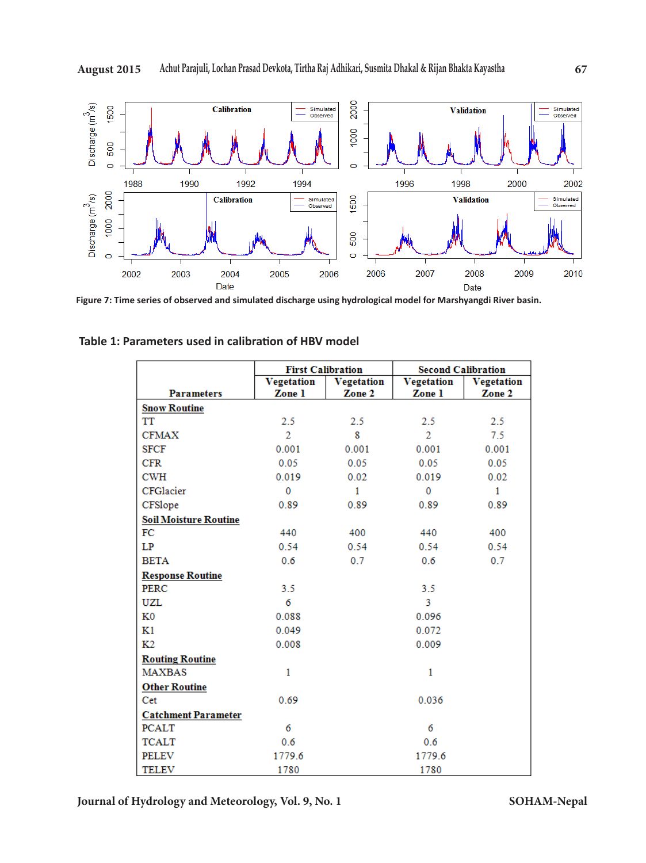

**Figure 7: Time series of observed and simulated discharge using hydrological model for Marshyangdi River basin.** 

|                              | <b>First Calibration</b> |                   | <b>Second Calibration</b> |              |
|------------------------------|--------------------------|-------------------|---------------------------|--------------|
|                              | <b>Vegetation</b>        | <b>Vegetation</b> | <b>Vegetation</b>         | Vegetation   |
| <b>Parameters</b>            | Zone 1                   | Zone 2            | Zone 1                    | Zone 2       |
| <b>Snow Routine</b>          |                          |                   |                           |              |
| TT                           | 2.5                      | 2.5               | 2.5                       | 2.5          |
| <b>CFMAX</b>                 | $\overline{2}$           | 8                 | $\overline{2}$            | 7.5          |
| <b>SFCF</b>                  | 0.001                    | 0.001             | 0.001                     | 0.001        |
| CFR                          | 0.05                     | 0.05              | 0.05                      | 0.05         |
| <b>CWH</b>                   | 0.019                    | 0.02              | 0.019                     | 0.02         |
| CFGlacier                    | $\mathbf{0}$             | $\mathbf{1}$      | $\mathbf{0}$              | $\mathbf{1}$ |
| CFSlope                      | 0.89                     | 0.89              | 0.89                      | 0.89         |
| <b>Soil Moisture Routine</b> |                          |                   |                           |              |
| FC                           | 440                      | 400               | 440                       | 400          |
| LP                           | 0.54                     | 0.54              | 0.54                      | 0.54         |
| <b>BETA</b>                  | 0.6                      | 0.7               | 0.6                       | 0.7          |
| <b>Response Routine</b>      |                          |                   |                           |              |
| PERC                         | 3.5                      |                   | 3.5                       |              |
| <b>UZL</b>                   | 6                        |                   | 3                         |              |
| K0                           | 0.088                    |                   | 0.096                     |              |
| K1                           | 0.049                    |                   | 0.072                     |              |
| K <sub>2</sub>               | 0.008                    |                   | 0.009                     |              |
| <b>Routing Routine</b>       |                          |                   |                           |              |
| <b>MAXBAS</b>                | 1                        |                   | 1                         |              |
| <b>Other Routine</b>         |                          |                   |                           |              |
| Cet                          | 0.69                     |                   | 0.036                     |              |
| <b>Catchment Parameter</b>   |                          |                   |                           |              |
| <b>PCALT</b>                 | 6                        |                   | 6                         |              |
| <b>TCALT</b>                 | 0.6                      |                   | 0.6                       |              |
| PELEV                        | 1779.6                   |                   | 1779.6                    |              |
| <b>TELEV</b>                 | 1780                     |                   | 1780                      |              |

**Table 1: Parameters used in calibration of HBV model**

**Journal of Hydrology and Meteorology, Vol. 9, No. 1**

**SOHAM-Nepal**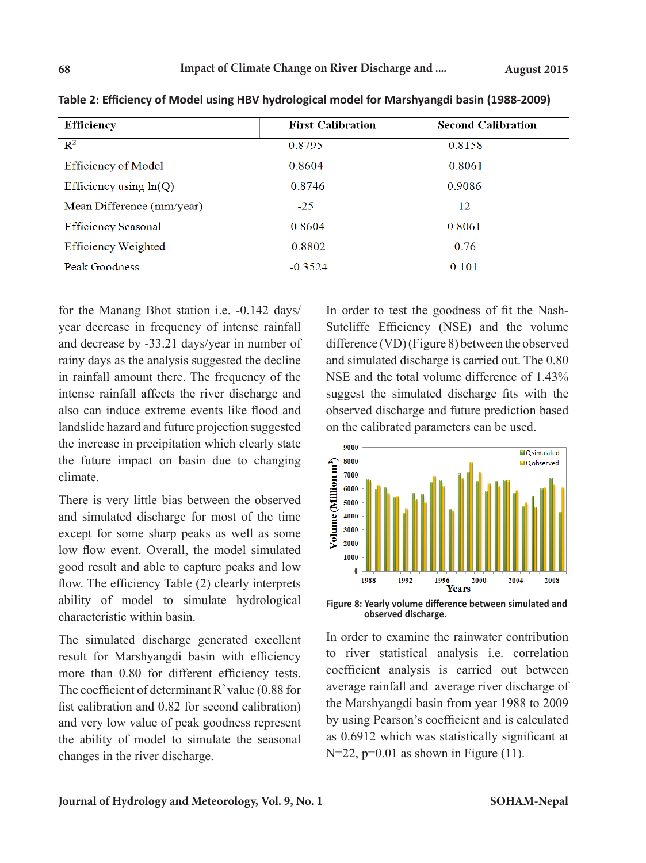| <b>Efficiency</b>          | <b>First Calibration</b> | <b>Second Calibration</b> |
|----------------------------|--------------------------|---------------------------|
| $\mathbb{R}^2$             | 0.8795                   | 0.8158                    |
| <b>Efficiency of Model</b> | 0.8604                   | 0.8061                    |
| Efficiency using $ln(Q)$   | 0.8746                   | 0.9086                    |
| Mean Difference (mm/year)  | $-2.5$                   | 12                        |
| <b>Efficiency Seasonal</b> | 0.8604                   | 0.8061                    |
| <b>Efficiency Weighted</b> | 0.8802                   | 0.76                      |
| Peak Goodness              | $-0.3524$                | 0.101                     |

**Table 2: Efficiency of Model using HBV hydrological model for Marshyangdi basin (1988-2009)**

for the Manang Bhot station i.e. -0.142 days/ year decrease in frequency of intense rainfall and decrease by -33.21 days/year in number of rainy days as the analysis suggested the decline in rainfall amount there. The frequency of the intense rainfall affects the river discharge and also can induce extreme events like flood and landslide hazard and future projection suggested the increase in precipitation which clearly state the future impact on basin due to changing climate.

There is very little bias between the observed and simulated discharge for most of the time except for some sharp peaks as well as some low flow event. Overall, the model simulated good result and able to capture peaks and low flow. The efficiency Table (2) clearly interprets ability of model to simulate hydrological characteristic within basin.

The simulated discharge generated excellent result for Marshyangdi basin with efficiency more than 0.80 for different efficiency tests. The coefficient of determinant  $R^2$  value (0.88 for fist calibration and 0.82 for second calibration) and very low value of peak goodness represent the ability of model to simulate the seasonal changes in the river discharge.

In order to test the goodness of fit the Nash-Sutcliffe Efficiency (NSE) and the volume difference (VD) (Figure 8) between the observed and simulated discharge is carried out. The 0.80 NSE and the total volume difference of 1.43% suggest the simulated discharge fits with the observed discharge and future prediction based on the calibrated parameters can be used.



**observed discharge.**

In order to examine the rainwater contribution to river statistical analysis i.e. correlation coefficient analysis is carried out between average rainfall and average river discharge of the Marshyangdi basin from year 1988 to 2009 by using Pearson's coefficient and is calculated as 0.6912 which was statistically significant at  $N=22$ ,  $p=0.01$  as shown in Figure (11).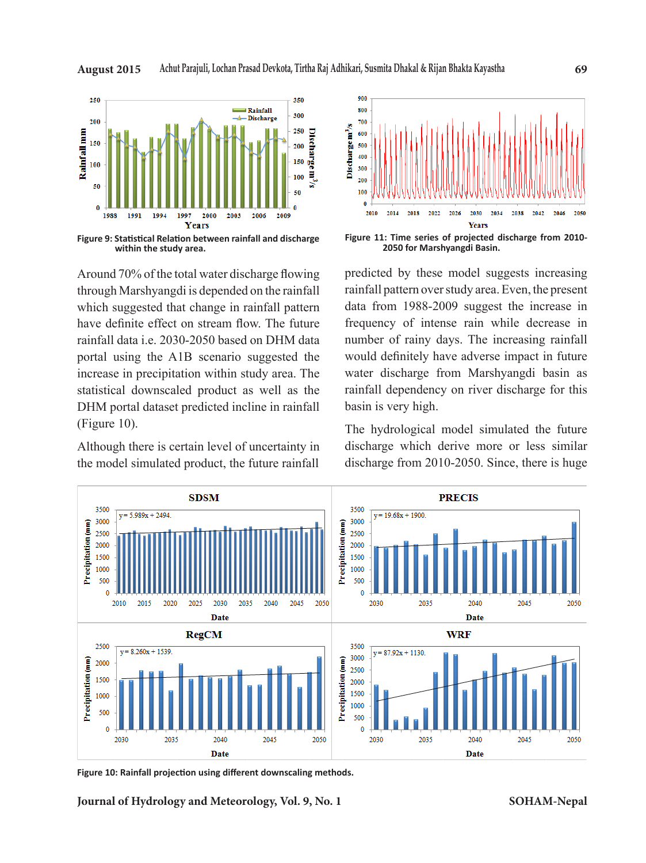

Around 70% of the total water discharge flowing through Marshyangdi is depended on the rainfall which suggested that change in rainfall pattern have definite effect on stream flow. The future rainfall data i.e. 2030-2050 based on DHM data portal using the A1B scenario suggested the increase in precipitation within study area. The statistical downscaled product as well as the DHM portal dataset predicted incline in rainfall (Figure 10).

Although there is certain level of uncertainty in the model simulated product, the future rainfall



predicted by these model suggests increasing rainfall pattern over study area. Even, the present data from 1988-2009 suggest the increase in frequency of intense rain while decrease in number of rainy days. The increasing rainfall would definitely have adverse impact in future water discharge from Marshyangdi basin as rainfall dependency on river discharge for this basin is very high.

The hydrological model simulated the future discharge which derive more or less similar discharge from 2010-2050. Since, there is huge



**Figure 10: Rainfall projection using different downscaling methods.** 

**Journal of Hydrology and Meteorology, Vol. 9, No. 1**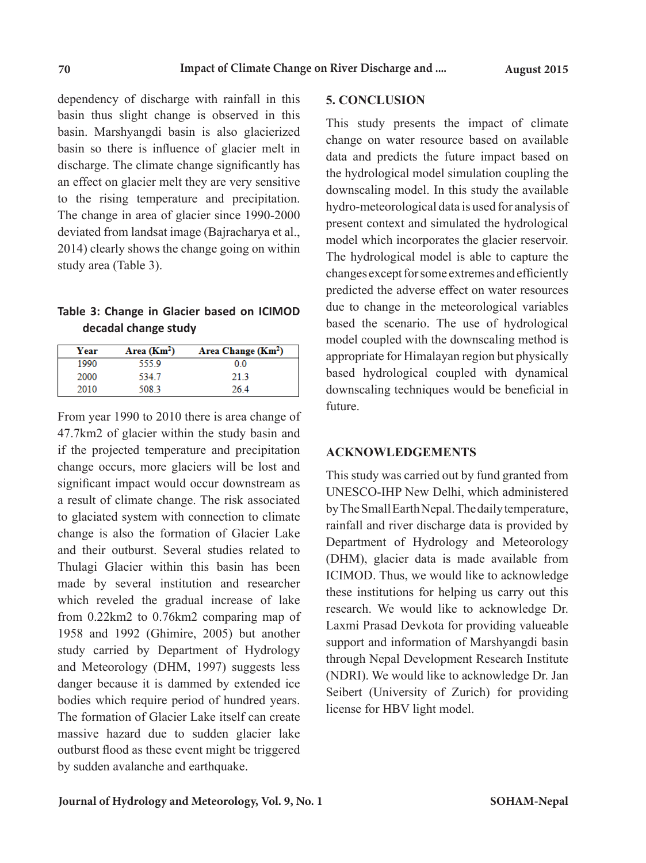dependency of discharge with rainfall in this basin thus slight change is observed in this basin. Marshyangdi basin is also glacierized basin so there is influence of glacier melt in discharge. The climate change significantly has an effect on glacier melt they are very sensitive to the rising temperature and precipitation. The change in area of glacier since 1990-2000 deviated from landsat image (Bajracharya et al., 2014) clearly shows the change going on within study area (Table 3).

# **Table 3: Change in Glacier based on ICIMOD decadal change study**

| Year | Area $(Km2)$ | Area Change (Km <sup>2</sup> ) |
|------|--------------|--------------------------------|
| 1990 | 555.9        | 00                             |
| 2000 | 5347         | 213                            |
| 2010 | 508.3        | 264                            |

From year 1990 to 2010 there is area change of 47.7km2 of glacier within the study basin and if the projected temperature and precipitation change occurs, more glaciers will be lost and significant impact would occur downstream as a result of climate change. The risk associated to glaciated system with connection to climate change is also the formation of Glacier Lake and their outburst. Several studies related to Thulagi Glacier within this basin has been made by several institution and researcher which reveled the gradual increase of lake from 0.22km2 to 0.76km2 comparing map of 1958 and 1992 (Ghimire, 2005) but another study carried by Department of Hydrology and Meteorology (DHM, 1997) suggests less danger because it is dammed by extended ice bodies which require period of hundred years. The formation of Glacier Lake itself can create massive hazard due to sudden glacier lake outburst flood as these event might be triggered by sudden avalanche and earthquake.

## **5. CONCLUSION**

This study presents the impact of climate change on water resource based on available data and predicts the future impact based on the hydrological model simulation coupling the downscaling model. In this study the available hydro-meteorological data is used for analysis of present context and simulated the hydrological model which incorporates the glacier reservoir. The hydrological model is able to capture the changes except for some extremes and efficiently predicted the adverse effect on water resources due to change in the meteorological variables based the scenario. The use of hydrological model coupled with the downscaling method is appropriate for Himalayan region but physically based hydrological coupled with dynamical downscaling techniques would be beneficial in future.

## **ACKNOWLEDGEMENTS**

This study was carried out by fund granted from UNESCO-IHP New Delhi, which administered by The Small Earth Nepal. The daily temperature, rainfall and river discharge data is provided by Department of Hydrology and Meteorology (DHM), glacier data is made available from ICIMOD. Thus, we would like to acknowledge these institutions for helping us carry out this research. We would like to acknowledge Dr. Laxmi Prasad Devkota for providing valueable support and information of Marshyangdi basin through Nepal Development Research Institute (NDRI). We would like to acknowledge Dr. Jan Seibert (University of Zurich) for providing license for HBV light model.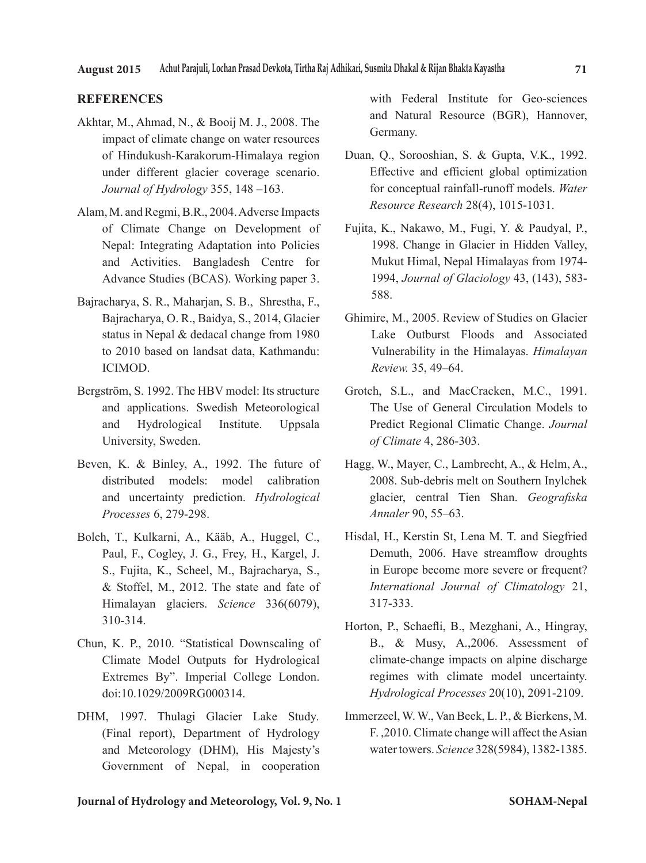#### **REFERENCES**

- Akhtar, M., Ahmad, N., & Booij M. J., 2008. The impact of climate change on water resources of Hindukush-Karakorum-Himalaya region under different glacier coverage scenario. *Journal of Hydrology* 355, 148 –163.
- Alam, M. and Regmi, B.R., 2004. Adverse Impacts of Climate Change on Development of Nepal: Integrating Adaptation into Policies and Activities. Bangladesh Centre for Advance Studies (BCAS). Working paper 3.
- Bajracharya, S. R., Maharjan, S. B., Shrestha, F., Bajracharya, O. R., Baidya, S., 2014, Glacier status in Nepal & dedacal change from 1980 to 2010 based on landsat data, Kathmandu: ICIMOD.
- Bergström, S. 1992. The HBV model: Its structure and applications. Swedish Meteorological and Hydrological Institute. Uppsala University, Sweden.
- Beven, K. & Binley, A., 1992. The future of distributed models: model calibration and uncertainty prediction. *Hydrological Processes* 6, 279-298.
- Bolch, T., Kulkarni, A., Kääb, A., Huggel, C., Paul, F., Cogley, J. G., Frey, H., Kargel, J. S., Fujita, K., Scheel, M., Bajracharya, S., & Stoffel, M., 2012. The state and fate of Himalayan glaciers. *Science* 336(6079), 310-314.
- Chun, K. P., 2010. "Statistical Downscaling of Climate Model Outputs for Hydrological Extremes By". Imperial College London. doi:10.1029/2009RG000314.
- DHM, 1997. Thulagi Glacier Lake Study*.*  (Final report), Department of Hydrology and Meteorology (DHM), His Majesty's Government of Nepal, in cooperation

with Federal Institute for Geo-sciences and Natural Resource (BGR), Hannover, Germany.

- Duan, Q., Sorooshian, S. & Gupta, V.K., 1992. Effective and efficient global optimization for conceptual rainfall-runoff models. *Water Resource Research* 28(4), 1015-1031.
- Fujita, K., Nakawo, M., Fugi, Y. & Paudyal, P., 1998. Change in Glacier in Hidden Valley, Mukut Himal, Nepal Himalayas from 1974- 1994, *Journal of Glaciology* 43, (143), 583- 588.
- Ghimire, M., 2005. Review of Studies on Glacier Lake Outburst Floods and Associated Vulnerability in the Himalayas. *Himalayan Review.* 35, 49–64.
- Grotch, S.L., and MacCracken, M.C., 1991. The Use of General Circulation Models to Predict Regional Climatic Change. *Journal of Climate* 4, 286-303.
- Hagg, W., Mayer, C., Lambrecht, A., & Helm, A., 2008. Sub-debris melt on Southern Inylchek glacier, central Tien Shan. *Geografiska Annaler* 90, 55–63.
- Hisdal, H., Kerstin St, Lena M. T. and Siegfried Demuth, 2006. Have streamflow droughts in Europe become more severe or frequent? *International Journal of Climatology* 21, 317-333.
- Horton, P., Schaefli, B., Mezghani, A., Hingray, B., & Musy, A.,2006. Assessment of climate-change impacts on alpine discharge regimes with climate model uncertainty. *Hydrological Processes* 20(10), 2091-2109.
- Immerzeel, W. W., Van Beek, L. P., & Bierkens, M. F. ,2010. Climate change will affect the Asian water towers. *Science* 328(5984), 1382-1385.

#### **Journal of Hydrology and Meteorology, Vol. 9, No. 1**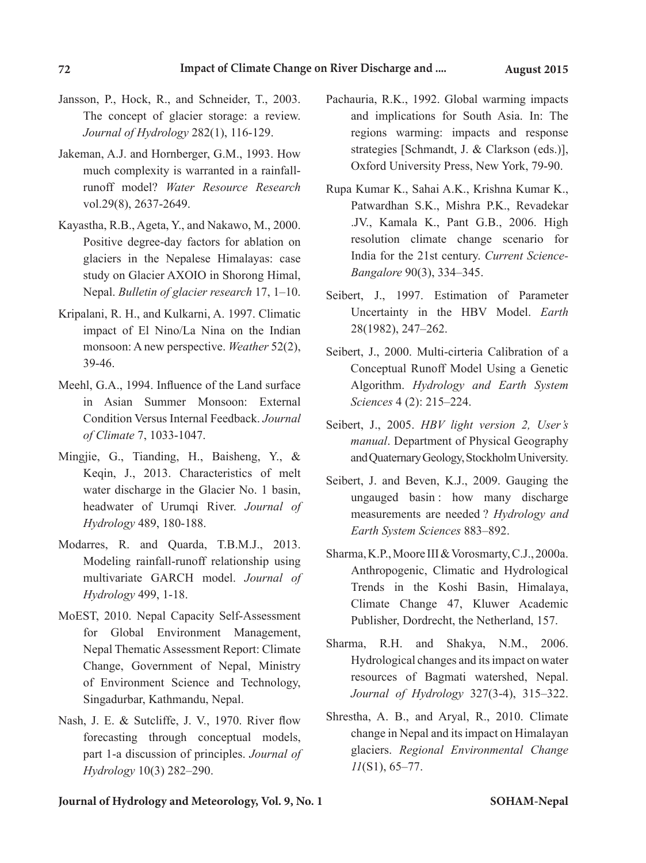- Jansson, P., Hock, R., and Schneider, T., 2003. The concept of glacier storage: a review. *Journal of Hydrology* 282(1), 116-129.
- Jakeman, A.J. and Hornberger, G.M., 1993. How much complexity is warranted in a rainfallrunoff model? *Water Resource Research* vol.29(8), 2637-2649.
- Kayastha, R.B., Ageta, Y., and Nakawo, M., 2000. Positive degree-day factors for ablation on glaciers in the Nepalese Himalayas: case study on Glacier AXOIO in Shorong Himal, Nepal. *Bulletin of glacier research* 17, 1–10.
- Kripalani, R. H., and Kulkarni, A. 1997. Climatic impact of El Nino/La Nina on the Indian monsoon: A new perspective. *Weather* 52(2), 39-46.
- Meehl, G.A., 1994. Influence of the Land surface in Asian Summer Monsoon: External Condition Versus Internal Feedback. *Journal of Climate* 7, 1033-1047.
- Mingjie, G., Tianding, H., Baisheng, Y., & Keqin, J., 2013. Characteristics of melt water discharge in the Glacier No. 1 basin, headwater of Urumqi River. *Journal of Hydrology* 489, 180-188.
- Modarres, R. and Quarda, T.B.M.J., 2013. Modeling rainfall-runoff relationship using multivariate GARCH model. *Journal of Hydrology* 499, 1-18.
- MoEST, 2010. Nepal Capacity Self-Assessment for Global Environment Management, Nepal Thematic Assessment Report: Climate Change, Government of Nepal, Ministry of Environment Science and Technology, Singadurbar, Kathmandu, Nepal.
- Nash, J. E. & Sutcliffe, J. V., 1970. River flow forecasting through conceptual models, part 1-a discussion of principles. *Journal of Hydrology* 10(3) 282–290.
- Pachauria, R.K., 1992. Global warming impacts and implications for South Asia. In: The regions warming: impacts and response strategies [Schmandt, J. & Clarkson (eds.)], Oxford University Press, New York, 79-90.
- Rupa Kumar K., Sahai A.K., Krishna Kumar K., Patwardhan S.K., Mishra P.K., Revadekar .JV., Kamala K., Pant G.B., 2006. High resolution climate change scenario for India for the 21st century. *Current Science-Bangalore* 90(3), 334–345.
- Seibert, J., 1997. Estimation of Parameter Uncertainty in the HBV Model. *Earth* 28(1982), 247–262.
- Seibert, J., 2000. Multi-cirteria Calibration of a Conceptual Runoff Model Using a Genetic Algorithm. *Hydrology and Earth System Sciences* 4 (2): 215–224.
- Seibert, J., 2005. *HBV light version 2, User's manual*. Department of Physical Geography and Quaternary Geology, Stockholm University.
- Seibert, J. and Beven, K.J., 2009. Gauging the ungauged basin : how many discharge measurements are needed ? *Hydrology and Earth System Sciences* 883–892.
- Sharma, K.P., Moore III & Vorosmarty, C.J., 2000a. Anthropogenic, Climatic and Hydrological Trends in the Koshi Basin, Himalaya, Climate Change 47, Kluwer Academic Publisher, Dordrecht, the Netherland, 157.
- Sharma, R.H. and Shakya, N.M., 2006. Hydrological changes and its impact on water resources of Bagmati watershed, Nepal. *Journal of Hydrology* 327(3-4), 315–322.
- Shrestha, A. B., and Aryal, R., 2010. Climate change in Nepal and its impact on Himalayan glaciers. *Regional Environmental Change 11*(S1), 65–77.

**Journal of Hydrology and Meteorology, Vol. 9, No. 1 SOHAM-Nepal**